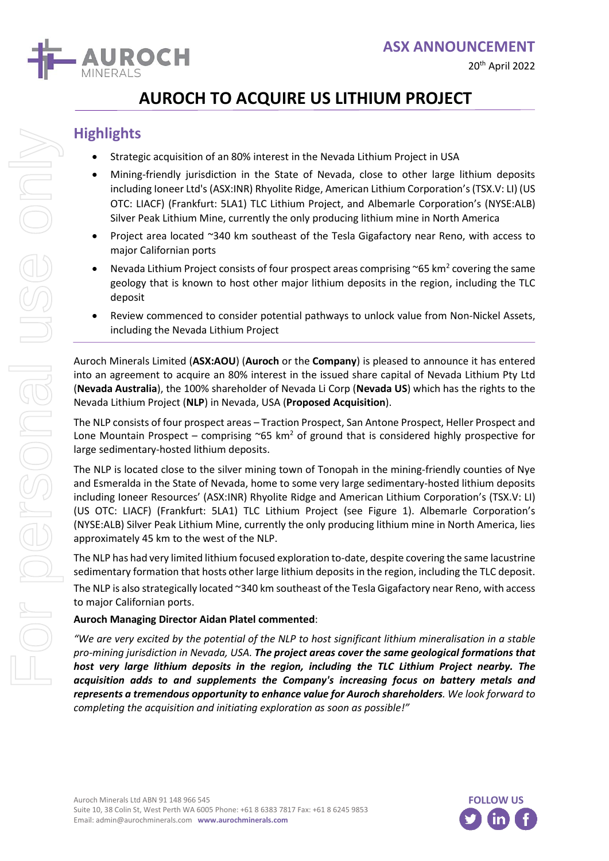

# **AUROCH TO ACQUIRE US LITHIUM PROJECT**

## **Highlights**

For personal use only

DE personal

e onl

- Strategic acquisition of an 80% interest in the Nevada Lithium Project in USA
- Mining-friendly jurisdiction in the State of Nevada, close to other large lithium deposits including Ioneer Ltd's (ASX:INR) Rhyolite Ridge, American Lithium Corporation's(TSX.V: LI) (US OTC: LIACF) (Frankfurt: 5LA1) TLC Lithium Project, and Albemarle Corporation's (NYSE:ALB) Silver Peak Lithium Mine, currently the only producing lithium mine in North America
- Project area located ~340 km southeast of the Tesla Gigafactory near Reno, with access to major Californian ports
- Nevada Lithium Project consists of four prospect areas comprising  $\sim$  65 km<sup>2</sup> covering the same geology that is known to host other major lithium deposits in the region, including the TLC deposit
- Review commenced to consider potential pathways to unlock value from Non-Nickel Assets, including the Nevada Lithium Project

Auroch Minerals Limited (**ASX:AOU**) (**Auroch** or the **Company**) is pleased to announce it has entered into an agreement to acquire an 80% interest in the issued share capital of Nevada Lithium Pty Ltd (**Nevada Australia**), the 100% shareholder of Nevada Li Corp (**Nevada US**) which has the rights to the Nevada Lithium Project (**NLP**) in Nevada, USA (**Proposed Acquisition**).

The NLP consists of four prospect areas – Traction Prospect, San Antone Prospect, Heller Prospect and Lone Mountain Prospect – comprising  $\sim$ 65 km<sup>2</sup> of ground that is considered highly prospective for large sedimentary-hosted lithium deposits.

The NLP is located close to the silver mining town of Tonopah in the mining-friendly counties of Nye and Esmeralda in the State of Nevada, home to some very large sedimentary-hosted lithium deposits including Ioneer Resources' (ASX:INR) Rhyolite Ridge and American Lithium Corporation's (TSX.V: LI) (US OTC: LIACF) (Frankfurt: 5LA1) TLC Lithium Project (see Figure 1). Albemarle Corporation's (NYSE:ALB) Silver Peak Lithium Mine, currently the only producing lithium mine in North America, lies approximately 45 km to the west of the NLP.

The NLP has had very limited lithium focused exploration to-date, despite covering the same lacustrine sedimentary formation that hosts other large lithium deposits in the region, including the TLC deposit. The NLP is also strategically located ~340 km southeast of the Tesla Gigafactory near Reno, with access to major Californian ports.

### **Auroch Managing Director Aidan Platel commented**:

*"We are very excited by the potential of the NLP to host significant lithium mineralisation in a stable pro-mining jurisdiction in Nevada, USA. The project areas cover the same geological formations that host very large lithium deposits in the region, including the TLC Lithium Project nearby. The acquisition adds to and supplements the Company's increasing focus on battery metals and represents a tremendous opportunity to enhance value for Auroch shareholders. We look forward to completing the acquisition and initiating exploration as soon as possible!"*

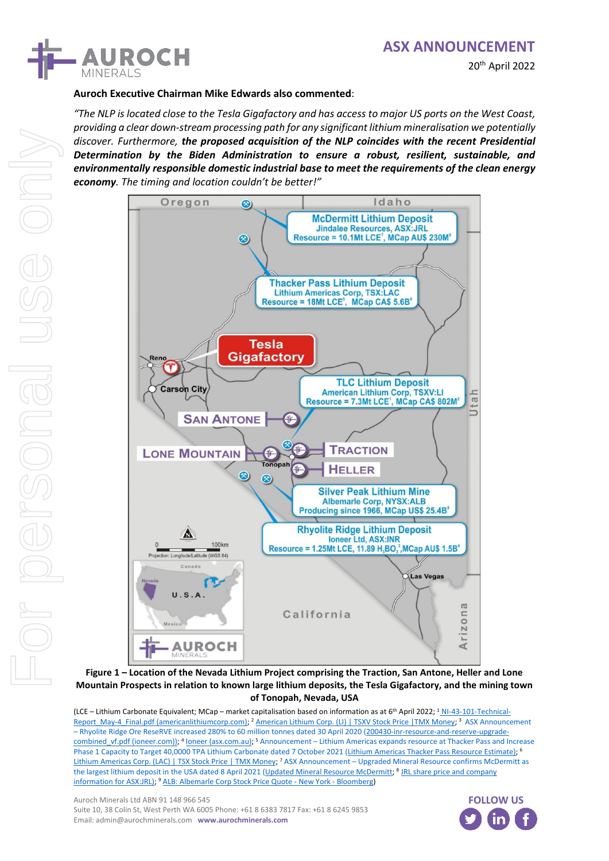## **ASX ANNOUNCEMENT**





### **Auroch Executive Chairman Mike Edwards also commented**:

*"The NLP is located close to the Tesla Gigafactory and has access to major US ports on the West Coast, providing a clear down-stream processing path for any significant lithium mineralisation we potentially discover. Furthermore, the proposed acquisition of the NLP coincides with the recent Presidential Determination by the Biden Administration to ensure a robust, resilient, sustainable, and environmentally responsible domestic industrial base to meet the requirements of the clean energy economy. The timing and location couldn't be better!"*



**Figure 1 – Location of the Nevada Lithium Project comprising the Traction, San Antone, Heller and Lone Mountain Prospects in relation to known large lithium deposits, the Tesla Gigafactory, and the mining town of Tonopah, Nevada, USA**

(LCE - Lithium Carbonate Equivalent; MCap - market capitalisation based on information as at 6<sup>th</sup> April 2022; <sup>1</sup> [NI-43-101-Technical-](https://americanlithiumcorp.com/wp-content/uploads/2021/05/NI-43-101-Technical-Report_May-4_Final.pdf)[Report\\_May-4\\_Final.pdf \(americanlithiumcorp.com\);](https://americanlithiumcorp.com/wp-content/uploads/2021/05/NI-43-101-Technical-Report_May-4_Final.pdf) <sup>2</sup> [American Lithium Corp. \(LI\) | TSXV Stock Price |TMX Money;](https://money.tmx.com/en/quote/LI) <sup>3</sup> ASX Announcement – Rhyolite Ridge Ore ReseRVE increased 280% to 60 million tonnes dated 30 April 2020 [\(200430-inr-resource-and-reserve-upgrade-](https://www.ioneer.com/files/announcement/files/200430-inr-resource-and-reserve-upgrade-combined_vf.pdf)combined vf.pdf (ioneer.com)); <sup>4</sup> [Ioneer \(asx.com.au\);](https://www2.asx.com.au/content/asx/search.html?q=ioneer) <sup>5</sup> Announcement – Lithium Americas expands resource at Thacker Pass and Increase Phase 1 Capacity to Target 40,0000 TPA Lithium Carbonate dated 7 October 2021 [\(Lithium Americas Thacker Pass Resource Estimate\)](https://www.lithiumamericas.com/news/lithium-americas-expands-resource-at-thacker-pass-and-increases-phase-1-capacity-to-target-40000-tpa-lithium-carbonate); <sup>6</sup> [Lithium Americas Corp. \(LAC\) | TSX Stock Price | TMX Money;](https://money.tmx.com/en/quote/LAC) <sup>7</sup> ASX Announcement - Upgraded Mineral Resource confirms McDermitt as the largest lithium deposit in the USA dated 8 April 2021 [\(Updated Mineral Resource McDermitt;](https://cdn-api.markitdigital.com/apiman-gateway/ASX/asx-research/1.0/file/2924-02361801-6A1027742?access_token=83ff96335c2d45a094df02a206a39ff4) <sup>8</sup> JRL share price and company [information for ASX:JRL\);](https://www2.asx.com.au/markets/company/JRL) <sup>9</sup> [ALB: Albemarle Corp Stock Price Quote -](https://www.bloomberg.com/quote/ALB:US) New York - Bloomberg)

Auroch Minerals Ltd ABN 91 148 966 545 Suite 10, 38 Colin St, West Perth WA 6005 Phone: +61 8 6383 7817 Fax: +61 8 6245 9853 Email: admin@aurochminerals.com **www.aurochminerals.com**

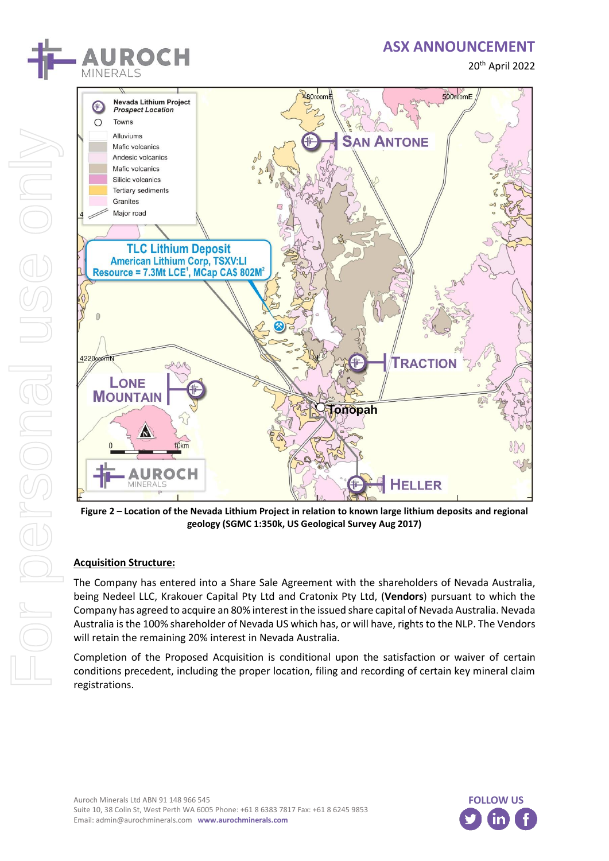

## **ASX ANNOUNCEMENT**

20th April 2022



**Figure 2 – Location of the Nevada Lithium Project in relation to known large lithium deposits and regional geology (SGMC 1:350k, US Geological Survey Aug 2017)**

### **Acquisition Structure:**

The Company has entered into a Share Sale Agreement with the shareholders of Nevada Australia, being Nedeel LLC, Krakouer Capital Pty Ltd and Cratonix Pty Ltd, (**Vendors**) pursuant to which the Company has agreed to acquire an 80% interest in the issued share capital of Nevada Australia. Nevada Australia isthe 100% shareholder of Nevada US which has, or will have, rights to the NLP. The Vendors will retain the remaining 20% interest in Nevada Australia.

Completion of the Proposed Acquisition is conditional upon the satisfaction or waiver of certain conditions precedent, including the proper location, filing and recording of certain key mineral claim registrations.

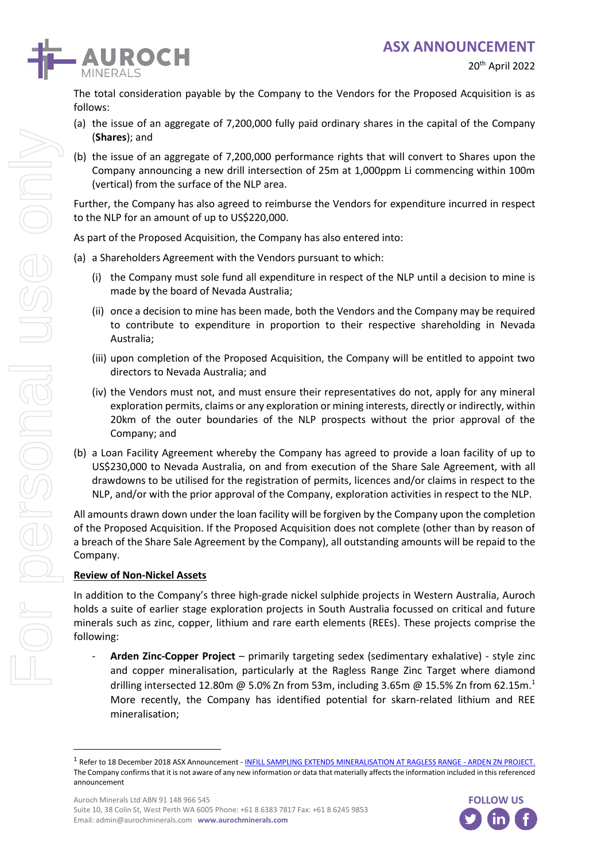

The total consideration payable by the Company to the Vendors for the Proposed Acquisition is as follows:

- (a) the issue of an aggregate of 7,200,000 fully paid ordinary shares in the capital of the Company (**Shares**); and
- (b) the issue of an aggregate of 7,200,000 performance rights that will convert to Shares upon the Company announcing a new drill intersection of 25m at 1,000ppm Li commencing within 100m (vertical) from the surface of the NLP area.

Further, the Company has also agreed to reimburse the Vendors for expenditure incurred in respect to the NLP for an amount of up to US\$220,000.

As part of the Proposed Acquisition, the Company has also entered into:

- (a) a Shareholders Agreement with the Vendors pursuant to which:
	- (i) the Company must sole fund all expenditure in respect of the NLP until a decision to mine is made by the board of Nevada Australia;
	- (ii) once a decision to mine has been made, both the Vendors and the Company may be required to contribute to expenditure in proportion to their respective shareholding in Nevada Australia;
	- (iii) upon completion of the Proposed Acquisition, the Company will be entitled to appoint two directors to Nevada Australia; and
	- (iv) the Vendors must not, and must ensure their representatives do not, apply for any mineral exploration permits, claims or any exploration or mining interests, directly or indirectly, within 20km of the outer boundaries of the NLP prospects without the prior approval of the Company; and
- (b) a Loan Facility Agreement whereby the Company has agreed to provide a loan facility of up to US\$230,000 to Nevada Australia, on and from execution of the Share Sale Agreement, with all drawdowns to be utilised for the registration of permits, licences and/or claims in respect to the NLP, and/or with the prior approval of the Company, exploration activities in respect to the NLP.

All amounts drawn down under the loan facility will be forgiven by the Company upon the completion of the Proposed Acquisition. If the Proposed Acquisition does not complete (other than by reason of a breach of the Share Sale Agreement by the Company), all outstanding amounts will be repaid to the Company.

#### **Review of Non-Nickel Assets**

In addition to the Company's three high-grade nickel sulphide projects in Western Australia, Auroch holds a suite of earlier stage exploration projects in South Australia focussed on critical and future minerals such as zinc, copper, lithium and rare earth elements (REEs). These projects comprise the following:

- **Arden Zinc-Copper Project** – primarily targeting sedex (sedimentary exhalative) - style zinc and copper mineralisation, particularly at the Ragless Range Zinc Target where diamond drilling intersected 12.80m @ 5.0% Zn from 53m, including 3.65m @ 15.5% Zn from 62.15m.<sup>1</sup> More recently, the Company has identified potential for skarn-related lithium and REE mineralisation;



<sup>&</sup>lt;sup>1</sup> Refer to 18 December 2018 ASX Announcement - <u>[INFILL SAMPLING EXTENDS MINERALISATION AT RAGLESS RANGE -](https://www.investi.com.au/api/announcements/aou/408f546e-9fa.pdf) ARDEN ZN PROJECT.</u> The Company confirms that it is not aware of any new information or data that materially affects the information included in this referenced announcement